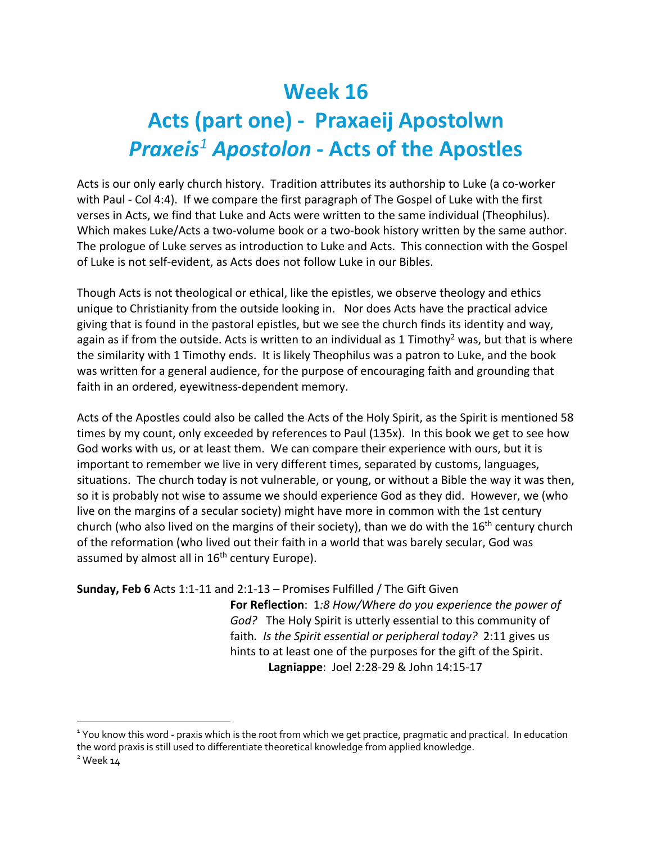## **Week 16 Acts (part one) - Praxaeij Apostolwn** *Praxeis<sup>1</sup> Apostolon* **- Acts of the Apostles**

Acts is our only early church history. Tradition attributes its authorship to Luke (a co-worker with Paul - Col 4:4). If we compare the first paragraph of The Gospel of Luke with the first verses in Acts, we find that Luke and Acts were written to the same individual (Theophilus). Which makes Luke/Acts a two-volume book or a two-book history written by the same author. The prologue of Luke serves as introduction to Luke and Acts. This connection with the Gospel of Luke is not self-evident, as Acts does not follow Luke in our Bibles.

Though Acts is not theological or ethical, like the epistles, we observe theology and ethics unique to Christianity from the outside looking in. Nor does Acts have the practical advice giving that is found in the pastoral epistles, but we see the church finds its identity and way, again as if from the outside. Acts is written to an individual as 1 Timothy<sup>2</sup> was, but that is where the similarity with 1 Timothy ends. It is likely Theophilus was a patron to Luke, and the book was written for a general audience, for the purpose of encouraging faith and grounding that faith in an ordered, eyewitness-dependent memory.

Acts of the Apostles could also be called the Acts of the Holy Spirit, as the Spirit is mentioned 58 times by my count, only exceeded by references to Paul (135x). In this book we get to see how God works with us, or at least them. We can compare their experience with ours, but it is important to remember we live in very different times, separated by customs, languages, situations. The church today is not vulnerable, or young, or without a Bible the way it was then, so it is probably not wise to assume we should experience God as they did. However, we (who live on the margins of a secular society) might have more in common with the 1st century church (who also lived on the margins of their society), than we do with the  $16<sup>th</sup>$  century church of the reformation (who lived out their faith in a world that was barely secular, God was assumed by almost all in 16<sup>th</sup> century Europe).

```
Sunday, Feb 6 Acts 1:1-11 and 2:1-13 – Promises Fulfilled / The Gift Given
```
**For Reflection**: 1*:8 How/Where do you experience the power of God?* The Holy Spirit is utterly essential to this community of faith*. Is the Spirit essential or peripheral today?* 2:11 gives us hints to at least one of the purposes for the gift of the Spirit. **Lagniappe**: Joel 2:28-29 & John 14:15-17

<sup>&</sup>lt;sup>1</sup> You know this word - praxis which is the root from which we get practice, pragmatic and practical. In education the word praxis is still used to differentiate theoretical knowledge from applied knowledge.

 $2$  Week  $14$